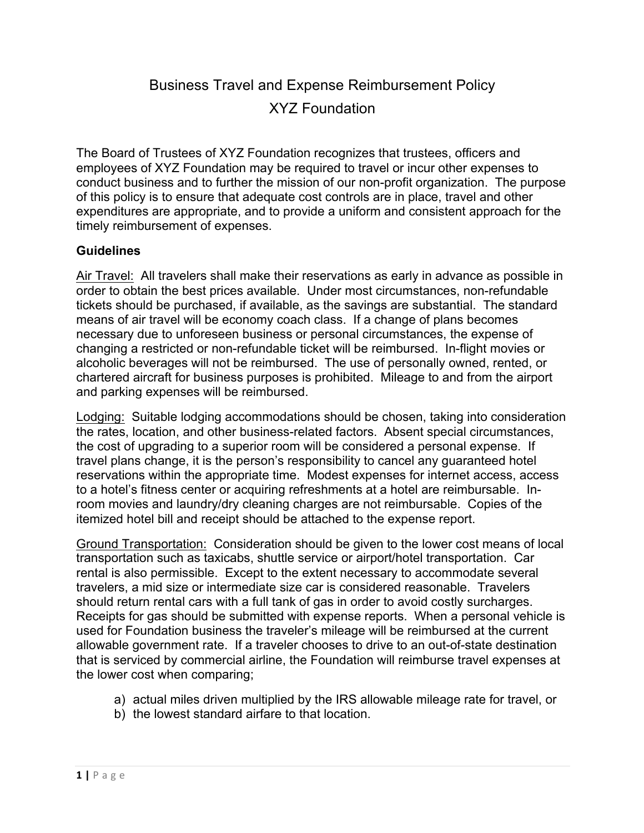## Business Travel and Expense Reimbursement Policy XYZ Foundation

The Board of Trustees of XYZ Foundation recognizes that trustees, officers and employees of XYZ Foundation may be required to travel or incur other expenses to conduct business and to further the mission of our non-profit organization. The purpose of this policy is to ensure that adequate cost controls are in place, travel and other expenditures are appropriate, and to provide a uniform and consistent approach for the timely reimbursement of expenses.

## **Guidelines**

Air Travel: All travelers shall make their reservations as early in advance as possible in order to obtain the best prices available. Under most circumstances, non-refundable tickets should be purchased, if available, as the savings are substantial. The standard means of air travel will be economy coach class. If a change of plans becomes necessary due to unforeseen business or personal circumstances, the expense of changing a restricted or non-refundable ticket will be reimbursed. In-flight movies or alcoholic beverages will not be reimbursed. The use of personally owned, rented, or chartered aircraft for business purposes is prohibited. Mileage to and from the airport and parking expenses will be reimbursed.

Lodging: Suitable lodging accommodations should be chosen, taking into consideration the rates, location, and other business-related factors. Absent special circumstances, the cost of upgrading to a superior room will be considered a personal expense. If travel plans change, it is the person's responsibility to cancel any guaranteed hotel reservations within the appropriate time. Modest expenses for internet access, access to a hotel's fitness center or acquiring refreshments at a hotel are reimbursable. Inroom movies and laundry/dry cleaning charges are not reimbursable. Copies of the itemized hotel bill and receipt should be attached to the expense report.

Ground Transportation: Consideration should be given to the lower cost means of local transportation such as taxicabs, shuttle service or airport/hotel transportation. Car rental is also permissible. Except to the extent necessary to accommodate several travelers, a mid size or intermediate size car is considered reasonable. Travelers should return rental cars with a full tank of gas in order to avoid costly surcharges. Receipts for gas should be submitted with expense reports. When a personal vehicle is used for Foundation business the traveler's mileage will be reimbursed at the current allowable government rate. If a traveler chooses to drive to an out-of-state destination that is serviced by commercial airline, the Foundation will reimburse travel expenses at the lower cost when comparing;

- a) actual miles driven multiplied by the IRS allowable mileage rate for travel, or
- b) the lowest standard airfare to that location.